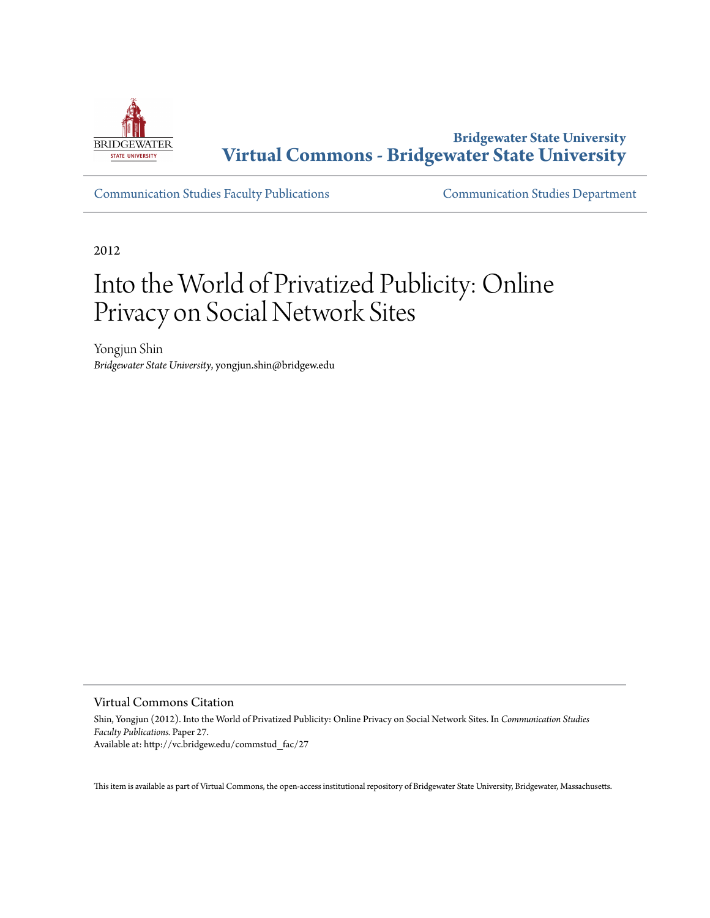

**Bridgewater State University [Virtual Commons - Bridgewater State University](http://vc.bridgew.edu)**

[Communication Studies Faculty Publications](http://vc.bridgew.edu/commstud_fac) [Communication Studies Department](http://vc.bridgew.edu/commstud)

2012

# Into the World of Privatized Publicity: Online Privacy on Social Network Sites

Yongjun Shin *Bridgewater State University*, yongjun.shin@bridgew.edu

Virtual Commons Citation

Shin, Yongjun (2012). Into the World of Privatized Publicity: Online Privacy on Social Network Sites. In *Communication Studies Faculty Publications.* Paper 27. Available at: http://vc.bridgew.edu/commstud\_fac/27

This item is available as part of Virtual Commons, the open-access institutional repository of Bridgewater State University, Bridgewater, Massachusetts.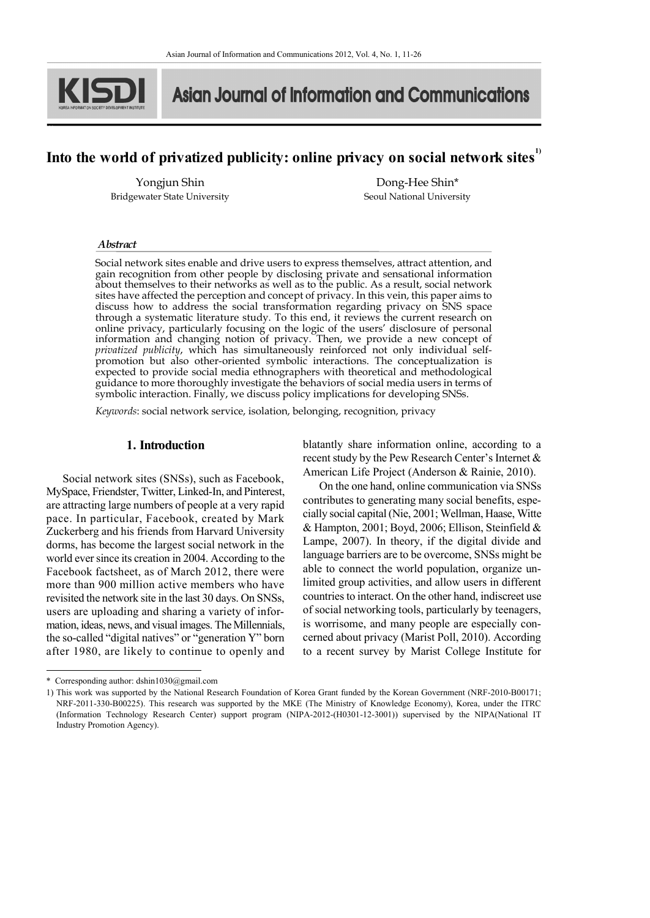

**1)**

**Asian Journal of Information and Communications** 

# **Into the world of privatized publicity: online privacy on social network sites1)**

Yongjun Shin Bridgewater State University

Dong-Hee Shin\* Seoul National University

#### *Abstract*

Social network sites enable and drive users to express themselves, attract attention, and gain recognition from other people by disclosing private and sensational information about themselves to their networks as well as to the public. As a result, social network sites have affected the perception and concept of privacy. In this vein, this paper aims to discuss how to address the social transformation regarding privacy on SNS space through a systematic literature study. To this end, it reviews the current research on online privacy, particularly focusing on the logic of the users' disclosure of personal information and changing notion of privacy. Then, we provide a new concept of *privatized publicity*, which has simultaneously reinforced not only individual selfpromotion but also other-oriented symbolic interactions. The conceptualization is expected to provide social media ethnographers with theoretical and methodological guidance to more thoroughly investigate the behaviors of social media users in terms of symbolic interaction. Finally, we discuss policy implications for developing SNSs.

*Keywords*: social network service, isolation, belonging, recognition, privacy

#### **1. Introduction**

Social network sites (SNSs), such as Facebook, MySpace, Friendster, Twitter, Linked-In, and Pinterest, are attracting large numbers of people at a very rapid pace. In particular, Facebook, created by Mark Zuckerberg and his friends from Harvard University dorms, has become the largest social network in the world ever since its creation in 2004. According to the Facebook factsheet, as of March 2012, there were more than 900 million active members who have revisited the network site in the last 30 days. On SNSs, users are uploading and sharing a variety of infor mation, ideas, news, and visual images. The Millennials, the so-called "digital natives" or "generation Y" born after 1980, are likely to continue to openly and blatantly share information online, according to a recent study by the Pew Research Center's Internet  $&$ American Life Project (Anderson & Rainie, 2010).

On the one hand, online communication via SNSs contributes to generating many social benefits, espe cially social capital (Nie, 2001; Wellman, Haase, Witte & Hampton, 2001; Boyd, 2006; Ellison, Steinfield & Lampe, 2007). In theory, if the digital divide and language barriers are to be overcome, SNSs might be able to connect the world population, organize unlimited group activities, and allow users in different countries to interact. On the other hand, indiscreet use of social networking tools, particularly by teenagers, is worrisome, and many people are especially con cerned about privacy (Marist Poll, 2010). According to a recent survey by Marist College Institute for

<sup>\*</sup> Corresponding author: dshin1030@gmail.com

<sup>1)</sup> This work was supported by the National Research Foundation of Korea Grant funded by the Korean Government (NRF-2010-B00171; NRF-2011-330-B00225). This research was supported by the MKE (The Ministry of Knowledge Economy), Korea, under the ITRC (Information Technology Research Center) support program (NIPA-2012-(H0301-12-3001)) supervised by the NIPA(National IT Industry Promotion Agency).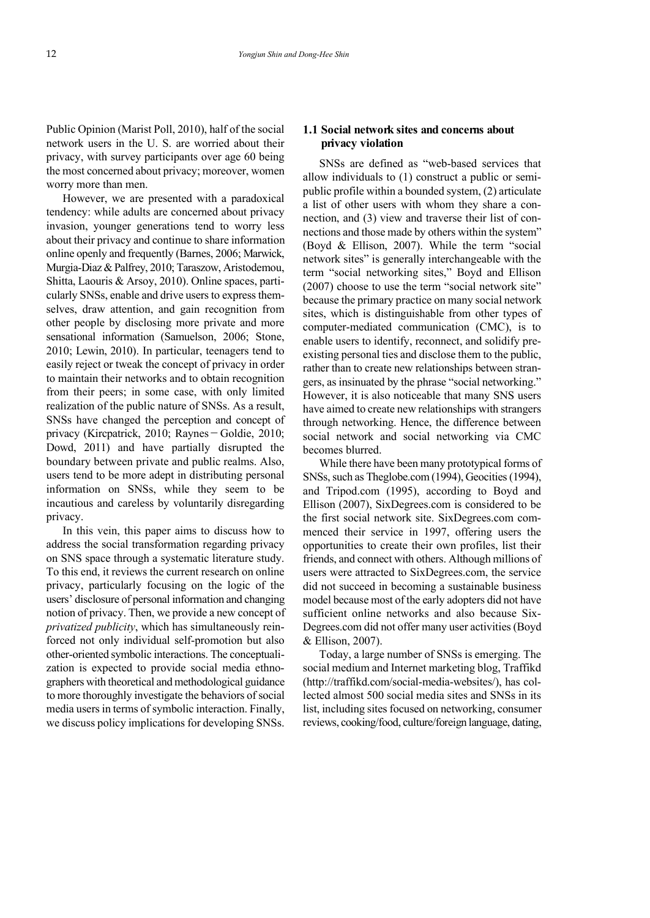Public Opinion (Marist Poll, 2010), half of the social network users in the U. S. are worried about their privacy, with survey participants over age 60 being the most concerned about privacy; moreover, women worry more than men.

However, we are presented with a paradoxical tendency: while adults are concerned about privacy invasion, younger generations tend to worry less about their privacy and continue to share information online openly and frequently (Barnes, 2006; Marwick, Murgia-Diaz & Palfrey, 2010; Taraszow, Aristodemou, Shitta, Laouris & Arsoy, 2010). Online spaces, parti cularly SNSs, enable and drive users to express them selves, draw attention, and gain recognition from other people by disclosing more private and more sensational information (Samuelson, 2006; Stone, 2010; Lewin, 2010). In particular, teenagers tend to easily reject or tweak the concept of privacy in order to maintain their networks and to obtain recognition from their peers; in some case, with only limited realization of the public nature of SNSs. As a result, SNSs have changed the perception and concept of privacy (Kircpatrick, 2010; Raynes-Goldie, 2010; Dowd, 2011) and have partially disrupted the boundary between private and public realms. Also, users tend to be more adept in distributing personal information on SNSs, while they seem to be incautious and careless by voluntarily disregarding privacy.

In this vein, this paper aims to discuss how to address the social transformation regarding privacy on SNS space through a systematic literature study. To this end, it reviews the current research on online privacy, particularly focusing on the logic of the users' disclosure of personal information and changing notion of privacy. Then, we provide a new concept of *privatized publicity*, which has simultaneously reinforced not only individual self-promotion but also other-oriented symbolic interactions. The conceptuali zation is expected to provide social media ethno graphers with theoretical and methodological guidance to more thoroughly investigate the behaviors of social media users in terms of symbolic interaction. Finally, we discuss policy implications for developing SNSs.

# **1.1 Social network sites and concerns about privacy violation**

SNSs are defined as "web-based services that allow individuals to (1) construct a public or semipublic profile within a bounded system, (2) articulate a list of other users with whom they share a con nection, and (3) view and traverse their list of con nections and those made by others within the system" (Boyd & Ellison, 2007). While the term "social network sites" is generally interchangeable with the term "social networking sites," Boyd and Ellison (2007) choose to use the term "social network site" because the primary practice on many social network sites, which is distinguishable from other types of computer-mediated communication (CMC), is to enable users to identify, reconnect, and solidify preexisting personal ties and disclose them to the public, rather than to create new relationships between stran gers, as insinuated by the phrase "social networking." However, it is also noticeable that many SNS users have aimed to create new relationships with strangers through networking. Hence, the difference between social network and social networking via CMC becomes blurred.

While there have been many prototypical forms of SNSs, such as Theglobe.com (1994), Geocities (1994), and Tripod.com (1995), according to Boyd and Ellison (2007), SixDegrees.com is considered to be the first social network site. SixDegrees.com com menced their service in 1997, offering users the opportunities to create their own profiles, list their friends, and connect with others. Although millions of users were attracted to SixDegrees.com, the service did not succeed in becoming a sustainable business model because most of the early adopters did not have sufficient online networks and also because Six- Degrees.com did not offer many user activities (Boyd & Ellison, 2007).

Today, a large number of SNSs is emerging. The social medium and Internet marketing blog, Traffikd (http://traffikd.com/social-media-websites/), has collected almost 500 social media sites and SNSs in its list, including sites focused on networking, consumer reviews, cooking/food, culture/foreign language, dating,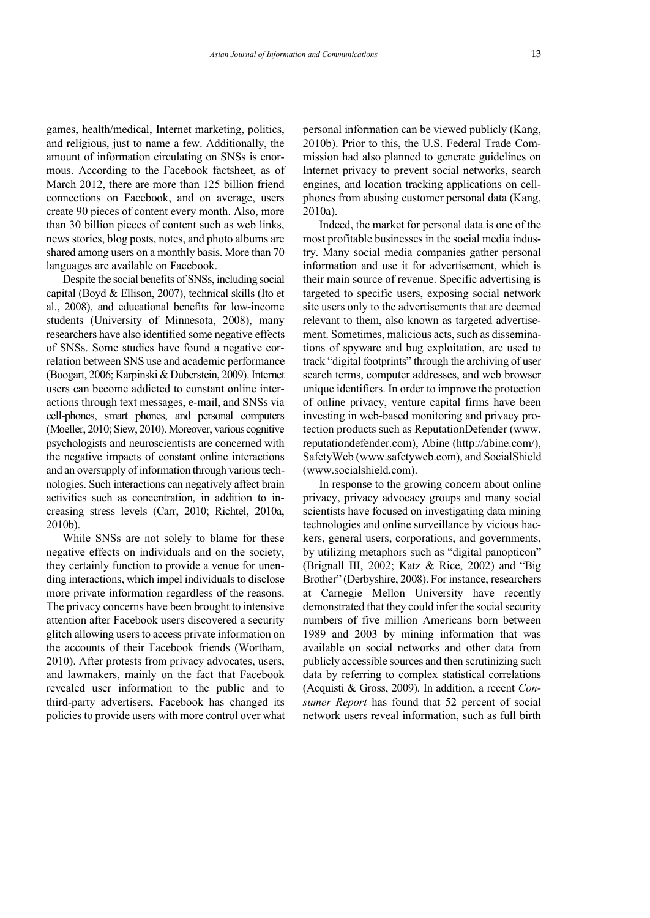games, health/medical, Internet marketing, politics, and religious, just to name a few. Additionally, the amount of information circulating on SNSs is enor mous. According to the Facebook factsheet, as of March 2012, there are more than 125 billion friend connections on Facebook, and on average, users create 90 pieces of content every month. Also, more than 30 billion pieces of content such as web links, news stories, blog posts, notes, and photo albums are shared among users on a monthly basis. More than 70 languages are available on Facebook.

Despite the social benefits of SNSs, including social capital (Boyd & Ellison, 2007), technical skills (Ito et al., 2008), and educational benefits for low-income students (University of Minnesota, 2008), many researchers have also identified some negative effects of SNSs. Some studies have found a negative correlation between SNS use and academic performance (Boogart, 2006; Karpinski & Duberstein, 2009). Internet users can become addicted to constant online inter actions through text messages, e-mail, and SNSs via cell-phones, smart phones, and personal computers (Moeller, 2010; Siew, 2010). Moreover, various cognitive psychologists and neuroscientists are concerned with the negative impacts of constant online interactions and an oversupply of information through various tech nologies. Such interactions can negatively affect brain activities such as concentration, in addition to in creasing stress levels (Carr, 2010; Richtel, 2010a, 2010b).

While SNSs are not solely to blame for these negative effects on individuals and on the society, they certainly function to provide a venue for unen ding interactions, which impel individuals to disclose more private information regardless of the reasons. The privacy concerns have been brought to intensive attention after Facebook users discovered a security glitch allowing users to access private information on the accounts of their Facebook friends (Wortham, 2010). After protests from privacy advocates, users, and lawmakers, mainly on the fact that Facebook revealed user information to the public and to third-party advertisers, Facebook has changed its policies to provide users with more control over what

personal information can be viewed publicly (Kang, 2010b). Prior to this, the U.S. Federal Trade Com mission had also planned to generate guidelines on Internet privacy to prevent social networks, search engines, and location tracking applications on cellphones from abusing customer personal data (Kang, 2010a).

Indeed, the market for personal data is one of the most profitable businesses in the social media industry. Many social media companies gather personal information and use it for advertisement, which is their main source of revenue. Specific advertising is targeted to specific users, exposing social network site users only to the advertisements that are deemed relevant to them, also known as targeted advertise ment. Sometimes, malicious acts, such as disseminations of spyware and bug exploitation, are used to track "digital footprints" through the archiving of user search terms, computer addresses, and web browser unique identifiers. In order to improve the protection of online privacy, venture capital firms have been investing in web-based monitoring and privacy protection products such as ReputationDefender (www. reputationdefender.com), Abine (http://abine.com/), SafetyWeb (www.safetyweb.com), and SocialShield (www.socialshield.com).

In response to the growing concern about online privacy, privacy advocacy groups and many social scientists have focused on investigating data mining technologies and online surveillance by vicious hac kers, general users, corporations, and governments, by utilizing metaphors such as "digital panopticon" (Brignall III, 2002; Katz & Rice, 2002) and "Big Brother" (Derbyshire, 2008). For instance, researchers at Carnegie Mellon University have recently demonstrated that they could infer the social security numbers of five million Americans born between 1989 and 2003 by mining information that was available on social networks and other data from publicly accessible sources and then scrutinizing such data by referring to complex statistical correlations (Acquisti & Gross, 2009). In addition, a recent *Con sumer Report* has found that 52 percent of social network users reveal information, such as full birth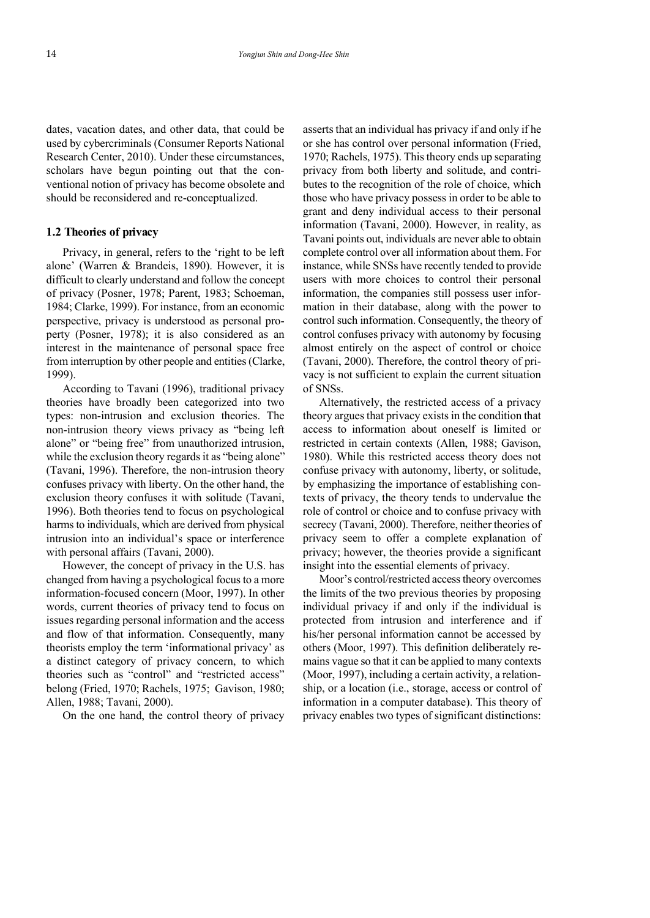dates, vacation dates, and other data, that could be used by cybercriminals (Consumer Reports National Research Center, 2010). Under these circumstances, scholars have begun pointing out that the con ventional notion of privacy has become obsolete and should be reconsidered and re-conceptualized.

#### **1.2 Theories of privacy**

Privacy, in general, refers to the 'right to be left alone' (Warren & Brandeis, 1890). However, it is difficult to clearly understand and follow the concept of privacy (Posner, 1978; Parent, 1983; Schoeman, 1984; Clarke, 1999). For instance, from an economic perspective, privacy is understood as personal pro perty (Posner, 1978); it is also considered as an interest in the maintenance of personal space free from interruption by other people and entities (Clarke, 1999).

According to Tavani (1996), traditional privacy theories have broadly been categorized into two types: non-intrusion and exclusion theories. The non-intrusion theory views privacy as "being left alone" or "being free" from unauthorized intrusion, while the exclusion theory regards it as "being alone" (Tavani, 1996). Therefore, the non-intrusion theory confuses privacy with liberty. On the other hand, the exclusion theory confuses it with solitude (Tavani, 1996). Both theories tend to focus on psychological harms to individuals, which are derived from physical intrusion into an individual's space or interference with personal affairs (Tavani, 2000).

However, the concept of privacy in the U.S. has changed from having a psychological focus to a more information-focused concern (Moor, 1997). In other words, current theories of privacy tend to focus on issues regarding personal information and the access and flow of that information. Consequently, many theorists employ the term 'informational privacy' as a distinct category of privacy concern, to which theories such as "control" and "restricted access" belong (Fried, 1970; Rachels, 1975; Gavison, 1980; Allen, 1988; Tavani, 2000).

On the one hand, the control theory of privacy

asserts that an individual has privacy if and only if he or she has control over personal information (Fried, 1970; Rachels, 1975). This theory ends up separating privacy from both liberty and solitude, and contri butes to the recognition of the role of choice, which those who have privacy possess in order to be able to grant and deny individual access to their personal information (Tavani, 2000). However, in reality, as Tavani points out, individuals are never able to obtain complete control over all information about them. For instance, while SNSs have recently tended to provide users with more choices to control their personal information, the companies still possess user infor mation in their database, along with the power to control such information. Consequently, the theory of control confuses privacy with autonomy by focusing almost entirely on the aspect of control or choice (Tavani, 2000). Therefore, the control theory of pri vacy is not sufficient to explain the current situation of SNSs.

Alternatively, the restricted access of a privacy theory argues that privacy exists in the condition that access to information about oneself is limited or restricted in certain contexts (Allen, 1988; Gavison, 1980). While this restricted access theory does not confuse privacy with autonomy, liberty, or solitude, by emphasizing the importance of establishing contexts of privacy, the theory tends to undervalue the role of control or choice and to confuse privacy with secrecy (Tavani, 2000). Therefore, neither theories of privacy seem to offer a complete explanation of privacy; however, the theories provide a significant insight into the essential elements of privacy.

Moor's control/restricted access theory overcomes the limits of the two previous theories by proposing individual privacy if and only if the individual is protected from intrusion and interference and if his/her personal information cannot be accessed by others (Moor, 1997). This definition deliberately re mains vague so that it can be applied to many contexts (Moor, 1997), including a certain activity, a relation ship, or a location (i.e., storage, access or control of information in a computer database). This theory of privacy enables two types of significant distinctions: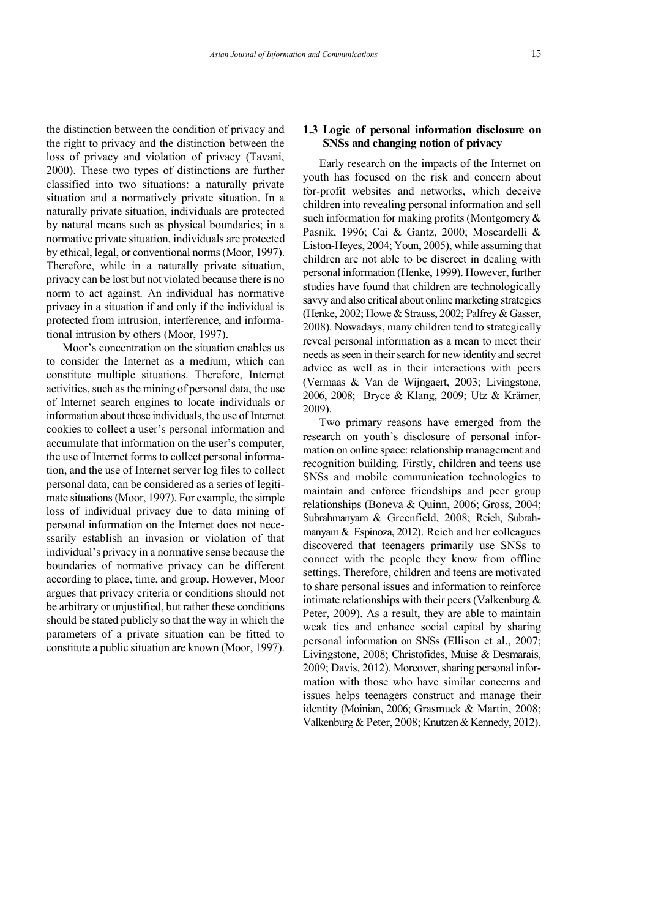the distinction between the condition of privacy and the right to privacy and the distinction between the loss of privacy and violation of privacy (Tavani, 2000). These two types of distinctions are further classified into two situations: a naturally private situation and a normatively private situation. In a naturally private situation, individuals are protected by natural means such as physical boundaries; in a normative private situation, individuals are protected by ethical, legal, or conventional norms (Moor, 1997). Therefore, while in a naturally private situation, privacy can be lost but not violated because there is no norm to act against. An individual has normative privacy in a situation if and only if the individual is protected from intrusion, interference, and informational intrusion by others (Moor, 1997).

Moor's concentration on the situation enables us to consider the Internet as a medium, which can constitute multiple situations. Therefore, Internet activities, such as the mining of personal data, the use of Internet search engines to locate individuals or information about those individuals, the use of Internet cookies to collect a user's personal information and accumulate that information on the user's computer, the use of Internet forms to collect personal information, and the use of Internet server log files to collect personal data, can be considered as a series of legiti mate situations (Moor, 1997). For example, the simple loss of individual privacy due to data mining of personal information on the Internet does not nece ssarily establish an invasion or violation of that individual's privacy in a normative sense because the boundaries of normative privacy can be different according to place, time, and group. However, Moor argues that privacy criteria or conditions should not be arbitrary or unjustified, but rather these conditions should be stated publicly so that the way in which the parameters of a private situation can be fitted to constitute a public situation are known (Moor, 1997).

## **1.3 Logic of personal information disclosure on SNSs and changing notion of privacy**

Early research on the impacts of the Internet on youth has focused on the risk and concern about for-profit websites and networks, which deceive children into revealing personal information and sell such information for making profits (Montgomery & Pasnik, 1996; Cai & Gantz, 2000; Moscardelli & Liston-Heyes, 2004; Youn, 2005), while assuming that children are not able to be discreet in dealing with personal information (Henke, 1999). However, further studies have found that children are technologically savvy and also critical about online marketing strategies (Henke, 2002; Howe & Strauss, 2002; Palfrey & Gasser, 2008). Nowadays, many children tend to strategically reveal personal information as a mean to meet their needs as seen in their search for new identity and secret advice as well as in their interactions with peers (Vermaas & Van de Wijngaert, 2003; Livingstone, 2006, 2008; Bryce & Klang, 2009; Utz & Krämer, 2009).

Two primary reasons have emerged from the research on youth's disclosure of personal infor mation on online space: relationship management and recognition building. Firstly, children and teens use SNSs and mobile communication technologies to maintain and enforce friendships and peer group relationships (Boneva & Quinn, 2006; Gross, 2004; Subrahmanyam & Greenfield, 2008; Reich, Subrah manyam & Espinoza, 2012). Reich and her colleagues discovered that teenagers primarily use SNSs to connect with the people they know from offline settings. Therefore, children and teens are motivated to share personal issues and information to reinforce intimate relationships with their peers (Valkenburg  $\&$ Peter, 2009). As a result, they are able to maintain weak ties and enhance social capital by sharing personal information on SNSs (Ellison et al., 2007; Livingstone, 2008; Christofides, Muise & Desmarais, 2009; Davis, 2012). Moreover, sharing personal infor mation with those who have similar concerns and issues helps teenagers construct and manage their identity (Moinian, 2006; Grasmuck & Martin, 2008; Valkenburg & Peter, 2008; Knutzen & Kennedy, 2012).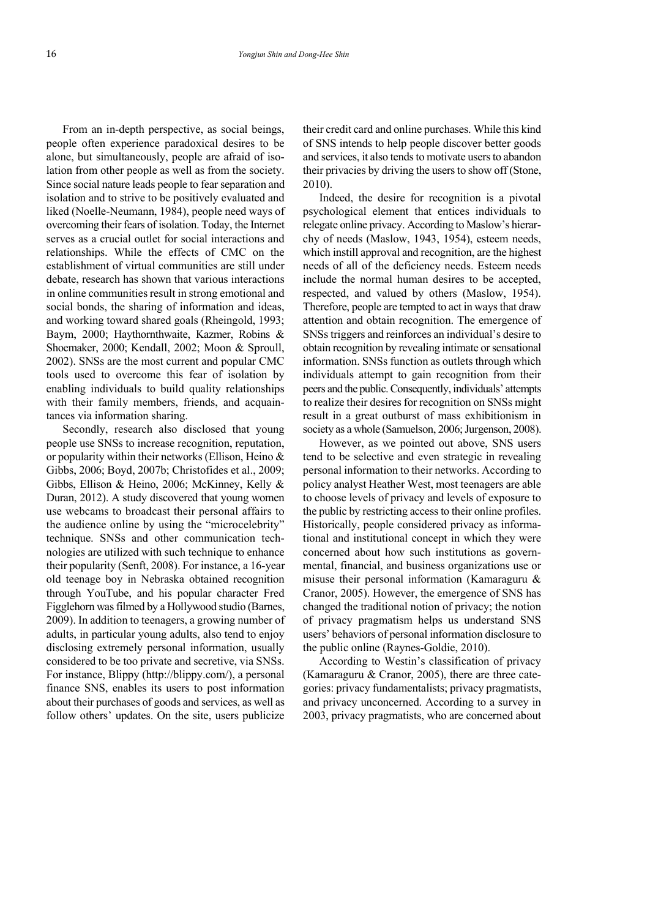From an in-depth perspective, as social beings, people often experience paradoxical desires to be alone, but simultaneously, people are afraid of isolation from other people as well as from the society. Since social nature leads people to fear separation and isolation and to strive to be positively evaluated and liked (Noelle-Neumann, 1984), people need ways of overcoming their fears of isolation. Today, the Internet serves as a crucial outlet for social interactions and relationships. While the effects of CMC on the establishment of virtual communities are still under debate, research has shown that various interactions in online communities result in strong emotional and social bonds, the sharing of information and ideas, and working toward shared goals (Rheingold, 1993; Baym, 2000; Haythornthwaite, Kazmer, Robins & Shoemaker, 2000; Kendall, 2002; Moon & Sproull, 2002). SNSs are the most current and popular CMC tools used to overcome this fear of isolation by enabling individuals to build quality relationships with their family members, friends, and acquaintances via information sharing.

Secondly, research also disclosed that young people use SNSs to increase recognition, reputation, or popularity within their networks (Ellison, Heino & Gibbs, 2006; Boyd, 2007b; Christofides et al., 2009; Gibbs, Ellison & Heino, 2006; McKinney, Kelly & Duran, 2012). A study discovered that young women use webcams to broadcast their personal affairs to the audience online by using the "microcelebrity" technique. SNSs and other communication tech nologies are utilized with such technique to enhance their popularity (Senft, 2008). For instance, a 16-year old teenage boy in Nebraska obtained recognition through YouTube, and his popular character Fred Figglehorn was filmed by a Hollywood studio (Barnes, 2009). In addition to teenagers, a growing number of adults, in particular young adults, also tend to enjoy disclosing extremely personal information, usually considered to be too private and secretive, via SNSs. For instance, Blippy (http://blippy.com/), a personal finance SNS, enables its users to post information about their purchases of goods and services, as well as follow others' updates. On the site, users publicize

their credit card and online purchases. While this kind of SNS intends to help people discover better goods and services, it also tends to motivate users to abandon their privacies by driving the users to show off (Stone, 2010).

Indeed, the desire for recognition is a pivotal psychological element that entices individuals to relegate online privacy. According to Maslow's hierar chy of needs (Maslow, 1943, 1954), esteem needs, which instill approval and recognition, are the highest needs of all of the deficiency needs. Esteem needs include the normal human desires to be accepted, respected, and valued by others (Maslow, 1954). Therefore, people are tempted to act in ways that draw attention and obtain recognition. The emergence of SNSs triggers and reinforces an individual's desire to obtain recognition by revealing intimate or sensational information. SNSs function as outlets through which individuals attempt to gain recognition from their peers and the public. Consequently, individuals' attempts to realize their desires for recognition on SNSs might result in a great outburst of mass exhibitionism in society as a whole (Samuelson, 2006; Jurgenson, 2008).

However, as we pointed out above, SNS users tend to be selective and even strategic in revealing personal information to their networks. According to policy analyst Heather West, most teenagers are able to choose levels of privacy and levels of exposure to the public by restricting access to their online profiles. Historically, people considered privacy as informational and institutional concept in which they were concerned about how such institutions as govern mental, financial, and business organizations use or misuse their personal information (Kamaraguru & Cranor, 2005). However, the emergence of SNS has changed the traditional notion of privacy; the notion of privacy pragmatism helps us understand SNS users' behaviors of personal information disclosure to the public online (Raynes-Goldie, 2010).

According to Westin's classification of privacy (Kamaraguru & Cranor, 2005), there are three cate gories: privacy fundamentalists; privacy pragmatists, and privacy unconcerned. According to a survey in 2003, privacy pragmatists, who are concerned about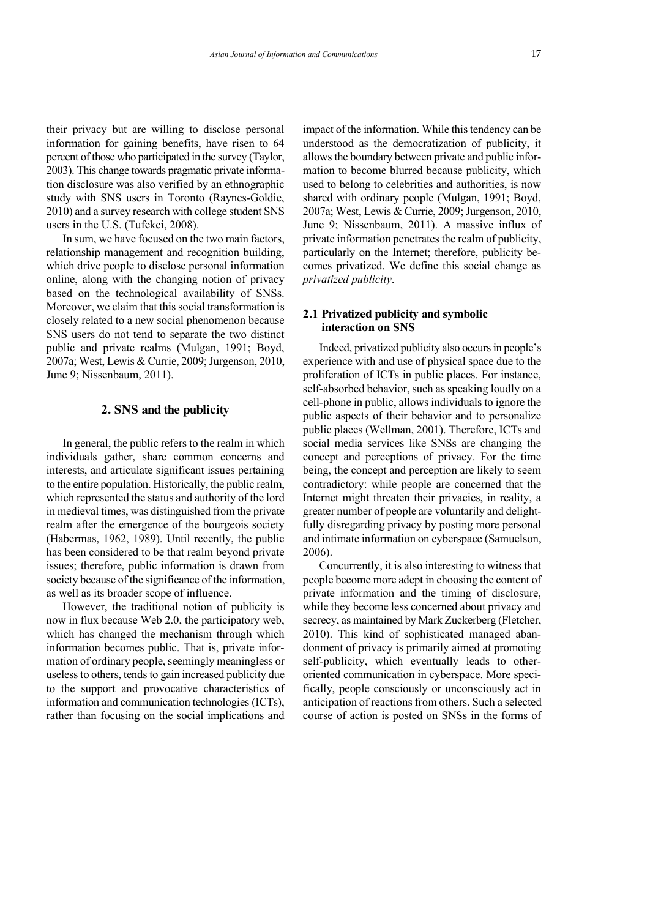their privacy but are willing to disclose personal information for gaining benefits, have risen to 64 percent of those who participated in the survey (Taylor, 2003). This change towards pragmatic private information disclosure was also verified by an ethnographic study with SNS users in Toronto (Raynes-Goldie, 2010) and a survey research with college student SNS users in the U.S. (Tufekci, 2008).

In sum, we have focused on the two main factors, relationship management and recognition building, which drive people to disclose personal information online, along with the changing notion of privacy based on the technological availability of SNSs. Moreover, we claim that this social transformation is closely related to a new social phenomenon because SNS users do not tend to separate the two distinct public and private realms (Mulgan, 1991; Boyd, 2007a; West, Lewis & Currie, 2009; Jurgenson, 2010, June 9; Nissenbaum, 2011).

#### **2. SNS and the publicity**

In general, the public refers to the realm in which individuals gather, share common concerns and interests, and articulate significant issues pertaining to the entire population. Historically, the public realm, which represented the status and authority of the lord in medieval times, was distinguished from the private realm after the emergence of the bourgeois society (Habermas, 1962, 1989). Until recently, the public has been considered to be that realm beyond private issues; therefore, public information is drawn from society because of the significance of the information, as well as its broader scope of influence.

However, the traditional notion of publicity is now in flux because Web 2.0, the participatory web, which has changed the mechanism through which information becomes public. That is, private infor mation of ordinary people, seemingly meaningless or useless to others, tends to gain increased publicity due to the support and provocative characteristics of information and communication technologies (ICTs), rather than focusing on the social implications and

impact of the information. While this tendency can be understood as the democratization of publicity, it allows the boundary between private and public infor mation to become blurred because publicity, which used to belong to celebrities and authorities, is now shared with ordinary people (Mulgan, 1991; Boyd, 2007a; West, Lewis & Currie, 2009; Jurgenson, 2010, June 9; Nissenbaum, 2011). A massive influx of private information penetrates the realm of publicity, particularly on the Internet; therefore, publicity be comes privatized. We define this social change as *privatized publicity*.

### **2.1 Privatized publicity and symbolic interaction on SNS**

Indeed, privatized publicity also occurs in people's experience with and use of physical space due to the proliferation of ICTs in public places. For instance, self-absorbed behavior, such as speaking loudly on a cell-phone in public, allows individuals to ignore the public aspects of their behavior and to personalize public places (Wellman, 2001). Therefore, ICTs and social media services like SNSs are changing the concept and perceptions of privacy. For the time being, the concept and perception are likely to seem contradictory: while people are concerned that the Internet might threaten their privacies, in reality, a greater number of people are voluntarily and delightfully disregarding privacy by posting more personal and intimate information on cyberspace (Samuelson, 2006).

Concurrently, it is also interesting to witness that people become more adept in choosing the content of private information and the timing of disclosure, while they become less concerned about privacy and secrecy, as maintained by Mark Zuckerberg (Fletcher, 2010). This kind of sophisticated managed aban donment of privacy is primarily aimed at promoting self-publicity, which eventually leads to otheroriented communication in cyberspace. More specifically, people consciously or unconsciously act in anticipation of reactions from others. Such a selected course of action is posted on SNSs in the forms of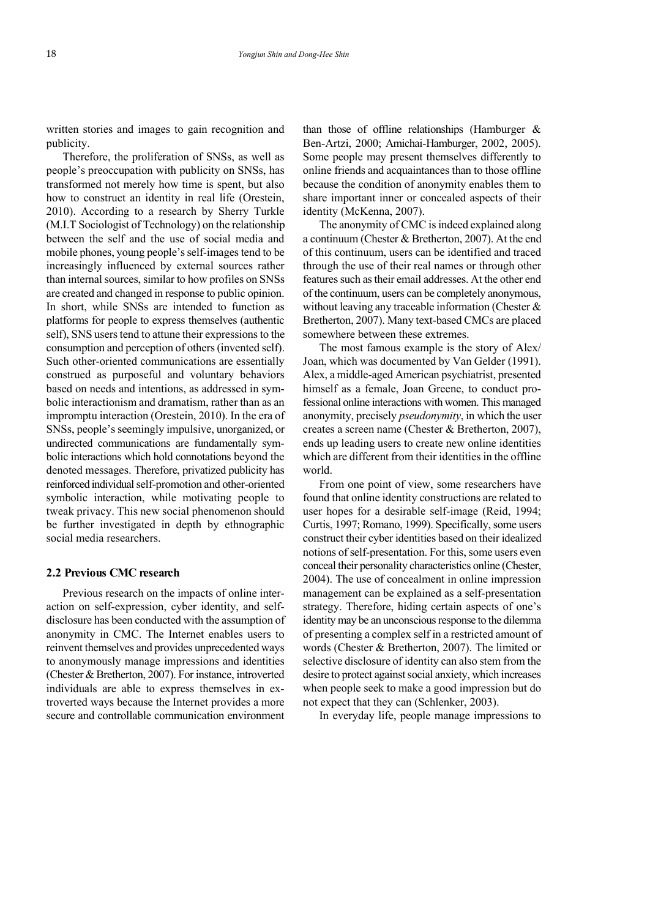written stories and images to gain recognition and publicity.

Therefore, the proliferation of SNSs, as well as people's preoccupation with publicity on SNSs, has transformed not merely how time is spent, but also how to construct an identity in real life (Orestein, 2010). According to a research by Sherry Turkle (M.I.T Sociologist of Technology) on the relationship between the self and the use of social media and mobile phones, young people's self-images tend to be increasingly influenced by external sources rather than internal sources, similar to how profiles on SNSs are created and changed in response to public opinion. In short, while SNSs are intended to function as platforms for people to express themselves (authentic self), SNS users tend to attune their expressions to the consumption and perception of others (invented self). Such other-oriented communications are essentially construed as purposeful and voluntary behaviors based on needs and intentions, as addressed in sym bolic interactionism and dramatism, rather than as an impromptu interaction (Orestein, 2010). In the era of SNSs, people's seemingly impulsive, unorganized, or undirected communications are fundamentally sym bolic interactions which hold connotations beyond the denoted messages. Therefore, privatized publicity has reinforced individual self-promotion and other-oriented symbolic interaction, while motivating people to tweak privacy. This new social phenomenon should be further investigated in depth by ethnographic social media researchers.

#### **2.2 Previous CMC research**

Previous research on the impacts of online inter action on self-expression, cyber identity, and selfdisclosure has been conducted with the assumption of anonymity in CMC. The Internet enables users to reinvent themselves and provides unprecedented ways to anonymously manage impressions and identities (Chester & Bretherton, 2007). For instance, introverted individuals are able to express themselves in extroverted ways because the Internet provides a more secure and controllable communication environment

than those of offline relationships (Hamburger  $\&$ Ben-Artzi, 2000; Amichai-Hamburger, 2002, 2005). Some people may present themselves differently to online friends and acquaintances than to those offline because the condition of anonymity enables them to share important inner or concealed aspects of their identity (McKenna, 2007).

The anonymity of CMC is indeed explained along a continuum (Chester & Bretherton, 2007). At the end of this continuum, users can be identified and traced through the use of their real names or through other features such as their email addresses. At the other end of the continuum, users can be completely anonymous, without leaving any traceable information (Chester  $\&$ Bretherton, 2007). Many text-based CMCs are placed somewhere between these extremes.

The most famous example is the story of Alex/ Joan, which was documented by Van Gelder (1991). Alex, a middle-aged American psychiatrist, presented himself as a female. Joan Greene, to conduct professional online interactions with women. This managed anonymity, precisely *pseudonymity*, in which the user creates a screen name (Chester & Bretherton, 2007), ends up leading users to create new online identities which are different from their identities in the offline world.

From one point of view, some researchers have found that online identity constructions are related to user hopes for a desirable self-image (Reid, 1994; Curtis, 1997; Romano, 1999). Specifically, some users construct their cyber identities based on their idealized notions of self-presentation. For this, some users even conceal their personality characteristics online (Chester, 2004). The use of concealment in online impression management can be explained as a self-presentation strategy. Therefore, hiding certain aspects of one's identity may be an unconscious response to the dilemma of presenting a complex self in a restricted amount of words (Chester & Bretherton, 2007). The limited or selective disclosure of identity can also stem from the desire to protect against social anxiety, which increases when people seek to make a good impression but do not expect that they can (Schlenker, 2003).

In everyday life, people manage impressions to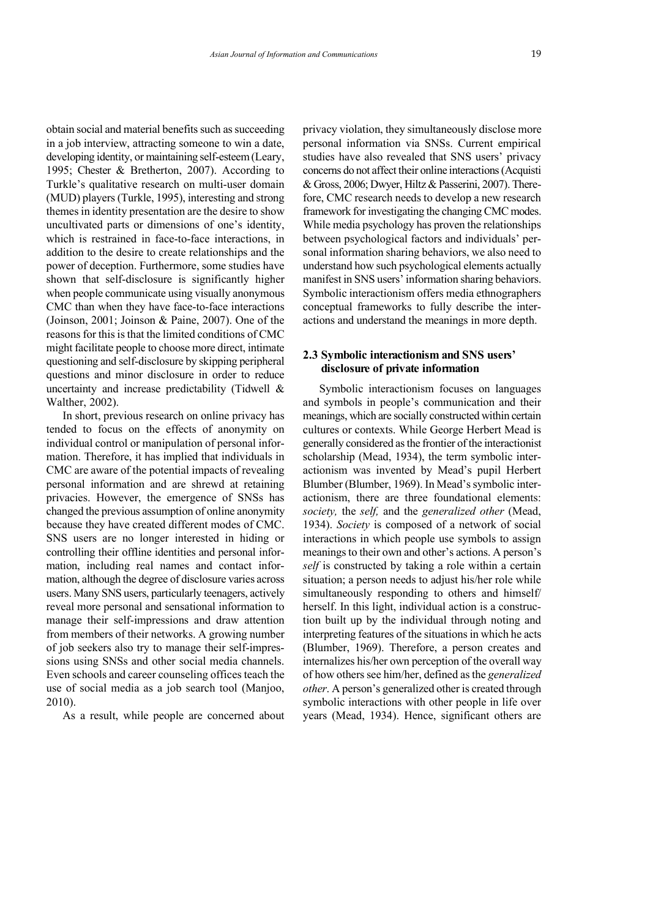obtain social and material benefits such as succeeding in a job interview, attracting someone to win a date, developing identity, or maintaining self-esteem (Leary, 1995; Chester & Bretherton, 2007). According to Turkle's qualitative research on multi-user domain (MUD) players (Turkle, 1995), interesting and strong themes in identity presentation are the desire to show uncultivated parts or dimensions of one's identity, which is restrained in face-to-face interactions, in addition to the desire to create relationships and the power of deception. Furthermore, some studies have shown that self-disclosure is significantly higher when people communicate using visually anonymous CMC than when they have face-to-face interactions (Joinson, 2001; Joinson & Paine, 2007). One of the reasons for this is that the limited conditions of CMC might facilitate people to choose more direct, intimate questioning and self-disclosure by skipping peripheral questions and minor disclosure in order to reduce uncertainty and increase predictability (Tidwell & Walther, 2002).

In short, previous research on online privacy has tended to focus on the effects of anonymity on individual control or manipulation of personal infor mation. Therefore, it has implied that individuals in CMC are aware of the potential impacts of revealing personal information and are shrewd at retaining privacies. However, the emergence of SNSs has changed the previous assumption of online anonymity because they have created different modes of CMC. SNS users are no longer interested in hiding or controlling their offline identities and personal infor mation, including real names and contact infor mation, although the degree of disclosure varies across users. Many SNS users, particularly teenagers, actively reveal more personal and sensational information to manage their self-impressions and draw attention from members of their networks. A growing number of job seekers also try to manage their self-impres sions using SNSs and other social media channels. Even schools and career counseling offices teach the use of social media as a job search tool (Manjoo, 2010).

As a result, while people are concerned about

privacy violation, they simultaneously disclose more personal information via SNSs. Current empirical studies have also revealed that SNS users' privacy concerns do not affect their online interactions (Acquisti & Gross, 2006; Dwyer, Hiltz & Passerini, 2007). Therefore, CMC research needs to develop a new research framework for investigating the changing CMC modes. While media psychology has proven the relationships between psychological factors and individuals' per sonal information sharing behaviors, we also need to understand how such psychological elements actually manifest in SNS users' information sharing behaviors. Symbolic interactionism offers media ethnographers conceptual frameworks to fully describe the inter actions and understand the meanings in more depth.

# **2.3 Symbolic interactionism and SNS users' disclosure of private information**

Symbolic interactionism focuses on languages and symbols in people's communication and their meanings, which are socially constructed within certain cultures or contexts. While George Herbert Mead is generally considered as the frontier of the interactionist scholarship (Mead, 1934), the term symbolic inter actionism was invented by Mead's pupil Herbert Blumber (Blumber, 1969). In Mead's symbolic interactionism, there are three foundational elements: *society,* the *self,* and the *generalized other* (Mead, 1934). *Society* is composed of a network of social interactions in which people use symbols to assign meanings to their own and other's actions. A person's *self* is constructed by taking a role within a certain situation; a person needs to adjust his/her role while simultaneously responding to others and himself/ herself. In this light, individual action is a construction built up by the individual through noting and interpreting features of the situations in which he acts (Blumber, 1969). Therefore, a person creates and internalizes his/her own perception of the overall way of how others see him/her, defined as the *generalized other*. A person's generalized other is created through symbolic interactions with other people in life over years (Mead, 1934). Hence, significant others are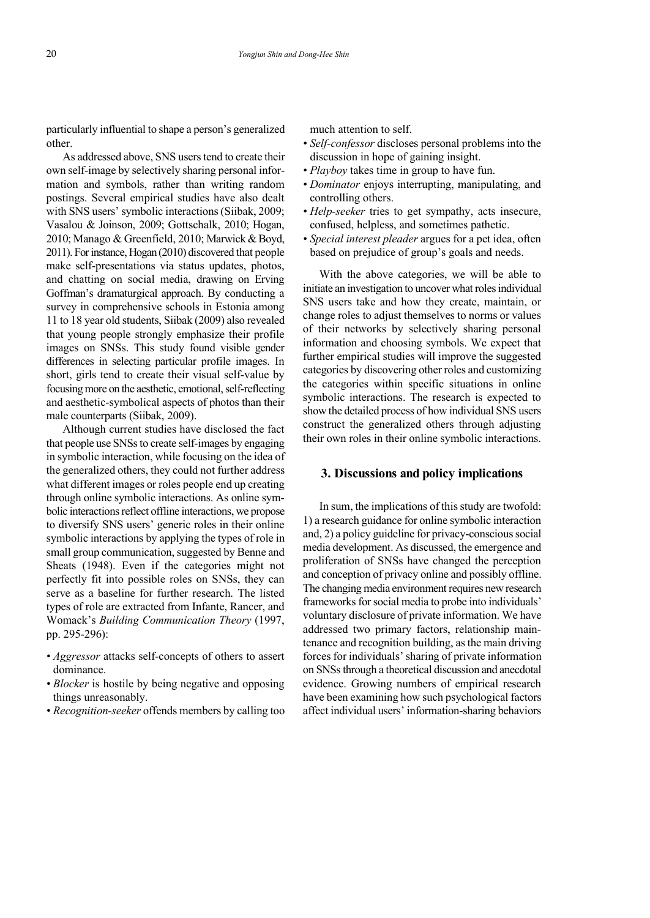particularly influential to shape a person's generalized other.

As addressed above, SNS users tend to create their own self-image by selectively sharing personal infor mation and symbols, rather than writing random postings. Several empirical studies have also dealt with SNS users' symbolic interactions (Siibak, 2009; Vasalou & Joinson, 2009; Gottschalk, 2010; Hogan, 2010; Manago & Greenfield, 2010; Marwick & Boyd, 2011). For instance, Hogan (2010) discovered that people make self-presentations via status updates, photos, and chatting on social media, drawing on Erving Goffman's dramaturgical approach. By conducting a survey in comprehensive schools in Estonia among 11 to 18 year old students, Siibak (2009) also revealed that young people strongly emphasize their profile images on SNSs. This study found visible gender differences in selecting particular profile images. In short, girls tend to create their visual self-value by focusing more on the aesthetic, emotional, self-reflecting and aesthetic-symbolical aspects of photos than their male counterparts (Siibak, 2009).

Although current studies have disclosed the fact that people use SNSs to create self-images by engaging in symbolic interaction, while focusing on the idea of the generalized others, they could not further address what different images or roles people end up creating through online symbolic interactions. As online sym bolic interactions reflect offline interactions, we propose to diversify SNS users' generic roles in their online symbolic interactions by applying the types of role in small group communication, suggested by Benne and Sheats (1948). Even if the categories might not perfectly fit into possible roles on SNSs, they can serve as a baseline for further research. The listed types of role are extracted from Infante, Rancer, and Womack's *Building Communication Theory* (1997, pp. 295-296):

- *• Aggressor* attacks self-concepts of others to assert dominance.
- *• Blocker* is hostile by being negative and opposing things unreasonably.
- *• Recognition-seeker* offends members by calling too

much attention to self.

- *• Self-confessor* discloses personal problems into the discussion in hope of gaining insight.
- *• Playboy* takes time in group to have fun.
- *• Dominator* enjoys interrupting, manipulating, and controlling others.
- *• Help-seeker* tries to get sympathy, acts insecure, confused, helpless, and sometimes pathetic.
- *• Special interest pleader* argues for a pet idea, often based on prejudice of group's goals and needs.

With the above categories, we will be able to initiate an investigation to uncover what roles individual SNS users take and how they create, maintain, or change roles to adjust themselves to norms or values of their networks by selectively sharing personal information and choosing symbols. We expect that further empirical studies will improve the suggested categories by discovering other roles and customizing the categories within specific situations in online symbolic interactions. The research is expected to show the detailed process of how individual SNS users construct the generalized others through adjusting their own roles in their online symbolic interactions.

#### **3. Discussions and policy implications**

In sum, the implications of this study are twofold: 1) a research guidance for online symbolic interaction and, 2) a policy guideline for privacy-conscious social media development. As discussed, the emergence and proliferation of SNSs have changed the perception and conception of privacy online and possibly offline. The changing media environment requires new research frameworks for social media to probe into individuals' voluntary disclosure of private information. We have addressed two primary factors, relationship maintenance and recognition building, as the main driving forces for individuals'sharing of private information on SNSs through a theoretical discussion and anecdotal evidence. Growing numbers of empirical research have been examining how such psychological factors affect individual users' information-sharing behaviors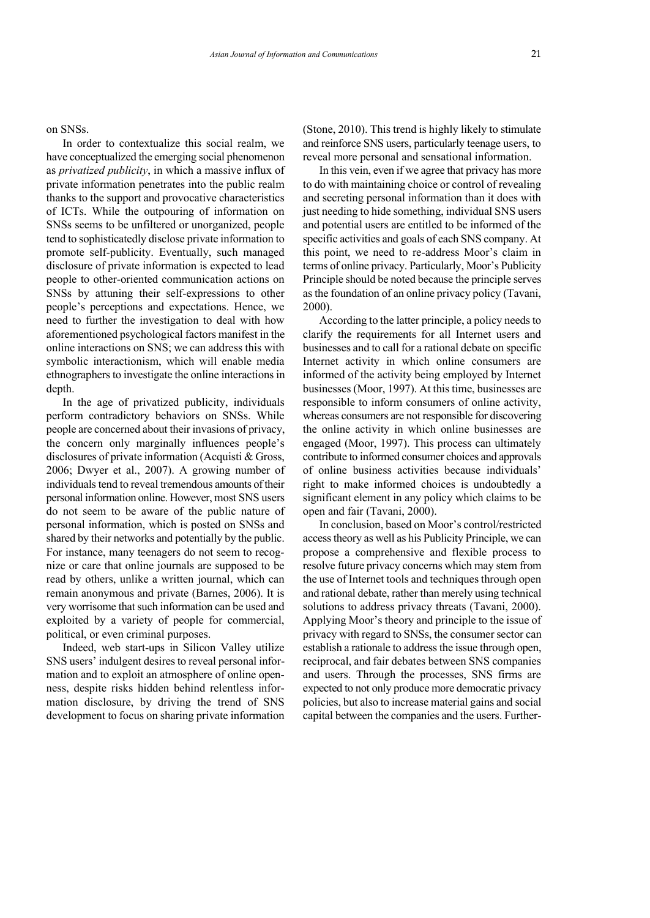on SNSs.

In order to contextualize this social realm, we have conceptualized the emerging social phenomenon as *privatized publicity*, in which a massive influx of private information penetrates into the public realm thanks to the support and provocative characteristics of ICTs. While the outpouring of information on SNSs seems to be unfiltered or unorganized, people tend to sophisticatedly disclose private information to promote self-publicity. Eventually, such managed disclosure of private information is expected to lead people to other-oriented communication actions on SNSs by attuning their self-expressions to other people's perceptions and expectations. Hence, we need to further the investigation to deal with how aforementioned psychological factors manifest in the online interactions on SNS; we can address this with symbolic interactionism, which will enable media ethnographers to investigate the online interactions in depth.

In the age of privatized publicity, individuals perform contradictory behaviors on SNSs. While people are concerned about their invasions of privacy, the concern only marginally influences people's disclosures of private information (Acquisti & Gross, 2006; Dwyer et al., 2007). A growing number of individuals tend to reveal tremendous amounts of their personal information online. However, most SNS users do not seem to be aware of the public nature of personal information, which is posted on SNSs and shared by their networks and potentially by the public. For instance, many teenagers do not seem to recog nize or care that online journals are supposed to be read by others, unlike a written journal, which can remain anonymous and private (Barnes, 2006). It is very worrisome that such information can be used and exploited by a variety of people for commercial, political, or even criminal purposes.

Indeed, web start-ups in Silicon Valley utilize SNS users' indulgent desires to reveal personal infor mation and to exploit an atmosphere of online open ness, despite risks hidden behind relentless infor mation disclosure, by driving the trend of SNS development to focus on sharing private information (Stone, 2010). This trend is highly likely to stimulate and reinforce SNS users, particularly teenage users, to reveal more personal and sensational information.

In this vein, even if we agree that privacy has more to do with maintaining choice or control of revealing and secreting personal information than it does with just needing to hide something, individual SNS users and potential users are entitled to be informed of the specific activities and goals of each SNS company. At this point, we need to re-address Moor's claim in terms of online privacy. Particularly, Moor's Publicity Principle should be noted because the principle serves as the foundation of an online privacy policy (Tavani, 2000).

According to the latter principle, a policy needs to clarify the requirements for all Internet users and businesses and to call for a rational debate on specific Internet activity in which online consumers are informed of the activity being employed by Internet businesses (Moor, 1997). At this time, businesses are responsible to inform consumers of online activity, whereas consumers are not responsible for discovering the online activity in which online businesses are engaged (Moor, 1997). This process can ultimately contribute to informed consumer choices and approvals of online business activities because individuals' right to make informed choices is undoubtedly a significant element in any policy which claims to be open and fair (Tavani, 2000).

In conclusion, based on Moor's control/restricted access theory as well as his Publicity Principle, we can propose a comprehensive and flexible process to resolve future privacy concerns which may stem from the use of Internet tools and techniques through open and rational debate, rather than merely using technical solutions to address privacy threats (Tavani, 2000). Applying Moor's theory and principle to the issue of privacy with regard to SNSs, the consumer sector can establish a rationale to address the issue through open, reciprocal, and fair debates between SNS companies and users. Through the processes, SNS firms are expected to not only produce more democratic privacy policies, but also to increase material gains and social capital between the companies and the users. Further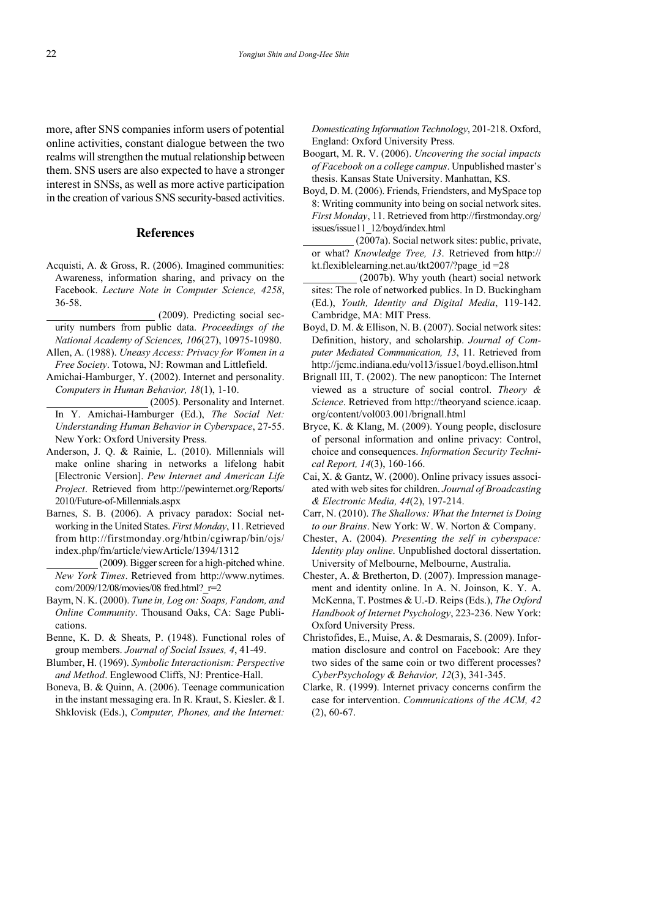more, after SNS companies inform users of potential online activities, constant dialogue between the two realms will strengthen the mutual relationship between them. SNS users are also expected to have a stronger interest in SNSs, as well as more active participation in the creation of various SNS security-based activities.

#### **References**

- Acquisti, A. & Gross, R. (2006). Imagined communities: Awareness, information sharing, and privacy on the Facebook. *Lecture Note in Computer Science, 4258*, 36-58.
- $(2009)$ . Predicting social security numbers from public data. *Proceedings of the National Academy of Sciences, 106*(27), 10975-10980.
- Allen, A. (1988). *Uneasy Access: Privacy for Women in a Free Society*. Totowa, NJ: Rowman and Littlefield.
- Amichai-Hamburger, Y. (2002). Internet and personality. *Computers in Human Behavior, 18*(1), 1-10.
	- $(2005)$ . Personality and Internet. In Y. Amichai-Hamburger (Ed.), *The Social Net: Understanding Human Behavior in Cyberspace*, 27-55. New York: Oxford University Press.
- Anderson, J. Q. & Rainie, L. (2010). Millennials will make online sharing in networks a lifelong habit [Electronic Version]. *Pew Internet and American Life Project*. Retrieved from http://pewinternet.org/Reports/ 2010/Future-of-Millennials.aspx
- Barnes, S. B. (2006). A privacy paradox: Social net working in the United States. *First Monday*, 11. Retrieved from http://firstmonday.org/htbin/cgiwrap/bin/ojs/ index.php/fm/article/viewArticle/1394/1312

(2009). Bigger screen for a high-pitched whine. *New York Times*. Retrieved from http://www.nytimes. com/2009/12/08/movies/08 fred.html?\_r=2

- Baym, N. K. (2000). *Tune in, Log on: Soaps, Fandom, and Online Community*. Thousand Oaks, CA: Sage Publi cations.
- Benne, K. D. & Sheats, P. (1948). Functional roles of group members. *Journal of Social Issues, 4*, 41-49.
- Blumber, H. (1969). *Symbolic Interactionism: Perspective and Method*. Englewood Cliffs, NJ: Prentice-Hall.
- Boneva, B. & Quinn, A. (2006). Teenage communication in the instant messaging era. In R. Kraut, S. Kiesler. & I. Shklovisk (Eds.), *Computer, Phones, and the Internet:*

*Domesticating Information Technology*, 201-218. Oxford, England: Oxford University Press.

- Boogart, M. R. V. (2006). *Uncovering the social impacts of Facebook on a college campus*. Unpublished master's thesis. Kansas State University. Manhattan, KS.
- Boyd, D. M. (2006). Friends, Friendsters, and MySpace top 8: Writing community into being on social network sites. *First Monday*, 11. Retrieved from http://firstmonday.org/ issues/issue11\_12/boyd/index.html
	- $(2007a)$ . Social network sites: public, private, or what? *Knowledge Tree, 13*. Retrieved from http:// kt.flexiblelearning.net.au/tkt2007/?page\_id =28
- $(2007b)$ . Why youth (heart) social network sites: The role of networked publics. In D. Buckingham (Ed.), *Youth, Identity and Digital Media*, 119-142. Cambridge, MA: MIT Press.
- Boyd, D. M. & Ellison, N. B. (2007). Social network sites: Definition, history, and scholarship. *Journal of Com puter Mediated Communication, 13*, 11. Retrieved from http://jcmc.indiana.edu/vol13/issue1/boyd.ellison.html
- Brignall III, T. (2002). The new panopticon: The Internet viewed as a structure of social control. *Theory & Science*. Retrieved from http://theoryand science.icaap. org/content/vol003.001/brignall.html
- Bryce, K. & Klang, M. (2009). Young people, disclosure of personal information and online privacy: Control, choice and consequences. *Information Security Techni cal Report, 14*(3), 160-166.
- Cai, X. & Gantz, W. (2000). Online privacy issues associ ated with web sites for children. *Journal of Broadcasting & Electronic Media, 44*(2), 197-214.
- Carr, N. (2010). *The Shallows: What the Internet is Doing to our Brains*. New York: W. W. Norton & Company.
- Chester, A. (2004). *Presenting the self in cyberspace: Identity play online*. Unpublished doctoral dissertation. University of Melbourne, Melbourne, Australia.
- Chester, A. & Bretherton, D. (2007). Impression manage ment and identity online. In A. N. Joinson, K. Y. A. McKenna, T. Postmes & U.-D. Reips (Eds.), *The Oxford Handbook of Internet Psychology*, 223-236. New York: Oxford University Press.
- Christofides, E., Muise, A. & Desmarais, S. (2009). Infor mation disclosure and control on Facebook: Are they two sides of the same coin or two different processes? *CyberPsychology & Behavior, 12*(3), 341-345.
- Clarke, R. (1999). Internet privacy concerns confirm the case for intervention. *Communications of the ACM, 42*   $(2), 60-67.$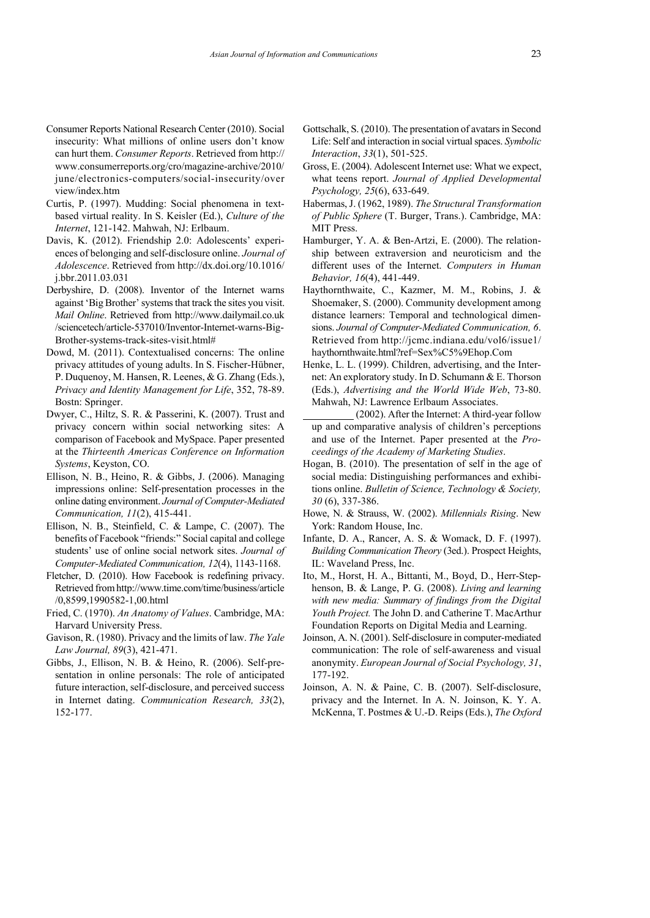- Consumer Reports National Research Center (2010). Social insecurity: What millions of online users don't know can hurt them. *Consumer Reports*. Retrieved from http:// www.consumerreports.org/cro/magazine-archive/2010/ june/electronics-computers/social-insecurity/over view/index.htm
- Curtis, P. (1997). Mudding: Social phenomena in textbased virtual reality. In S. Keisler (Ed.), *Culture of the Internet*, 121-142. Mahwah, NJ: Erlbaum.
- Davis, K. (2012). Friendship 2.0: Adolescents' experi ences of belonging and self-disclosure online. *Journal of Adolescence*. Retrieved from http://dx.doi.org/10.1016/ j.bbr.2011.03.031
- Derbyshire, D. (2008). Inventor of the Internet warns against 'Big Brother'systems that track the sites you visit. *Mail Online*. Retrieved from http://www.dailymail.co.uk /sciencetech/article-537010/Inventor-Internet-warns-Big-Brother-systems-track-sites-visit.html#
- Dowd, M. (2011). Contextualised concerns: The online privacy attitudes of young adults. In S. Fischer-Hübner, P. Duquenoy, M. Hansen, R. Leenes, & G. Zhang (Eds.), *Privacy and Identity Management for Life*, 352, 78-89. Bostn: Springer.
- Dwyer, C., Hiltz, S. R. & Passerini, K. (2007). Trust and privacy concern within social networking sites: A comparison of Facebook and MySpace. Paper presented at the *Thirteenth Americas Conference on Information Systems*, Keyston, CO.
- Ellison, N. B., Heino, R. & Gibbs, J. (2006). Managing impressions online: Self-presentation processes in the online dating environment. *Journal of Computer-Mediated Communication, 11*(2), 415-441.
- Ellison, N. B., Steinfield, C. & Lampe, C. (2007). The benefits of Facebook "friends:" Social capital and college students' use of online social network sites. *Journal of Computer-Mediated Communication, 12*(4), 1143-1168.
- Fletcher, D. (2010). How Facebook is redefining privacy. Retrieved from http://www.time.com/time/business/article /0,8599,1990582-1,00.html
- Fried, C. (1970). *An Anatomy of Values*. Cambridge, MA: Harvard University Press.
- Gavison, R. (1980). Privacy and the limits of law. *The Yale Law Journal, 89*(3), 421-471.
- Gibbs, J., Ellison, N. B. & Heino, R. (2006). Self-pre sentation in online personals: The role of anticipated future interaction, self-disclosure, and perceived success in Internet dating. *Communication Research, 33*(2), 152-177.
- Gottschalk, S. (2010). The presentation of avatars in Second Life: Self and interaction in social virtual spaces. *Symbolic Interaction*, *33*(1), 501-525.
- Gross, E. (2004). Adolescent Internet use: What we expect, what teens report. *Journal of Applied Developmental Psychology, 25*(6), 633-649.
- Habermas, J. (1962, 1989). *The Structural Transformation of Public Sphere* (T. Burger, Trans.). Cambridge, MA: MIT Press.
- Hamburger, Y. A. & Ben-Artzi, E. (2000). The relation ship between extraversion and neuroticism and the different uses of the Internet. *Computers in Human Behavior, 16*(4), 441-449.
- Haythornthwaite, C., Kazmer, M. M., Robins, J. & Shoemaker, S. (2000). Community development among distance learners: Temporal and technological dimen sions. *Journal of Computer-Mediated Communication, 6*. Retrieved from http://jcmc.indiana.edu/vol6/issue1/ haythornthwaite.html?ref=Sex%C5%9Ehop.Com
- Henke, L. L. (1999). Children, advertising, and the Inter net: An exploratory study. In D. Schumann & E. Thorson (Eds.), *Advertising and the World Wide Web*, 73-80. Mahwah, NJ: Lawrence Erlbaum Associates.
- $(2002)$ . After the Internet: A third-year follow up and comparative analysis of children's perceptions and use of the Internet. Paper presented at the *Pro ceedings of the Academy of Marketing Studies*.
- Hogan, B. (2010). The presentation of self in the age of social media: Distinguishing performances and exhibitions online. *Bulletin of Science, Technology & Society, 30* (6), 337-386.
- Howe, N. & Strauss, W. (2002). *Millennials Rising*. New York: Random House, Inc.
- Infante, D. A., Rancer, A. S. & Womack, D. F. (1997). *Building Communication Theory* (3ed.). Prospect Heights, IL: Waveland Press, Inc.
- Ito, M., Horst, H. A., Bittanti, M., Boyd, D., Herr-Step henson, B. & Lange, P. G. (2008). *Living and learning with new media: Summary of findings from the Digital Youth Project.* The John D. and Catherine T. MacArthur Foundation Reports on Digital Media and Learning.
- Joinson, A. N. (2001). Self-disclosure in computer-mediated communication: The role of self-awareness and visual anonymity. *European Journal of Social Psychology, 31*, 177-192.
- Joinson, A. N. & Paine, C. B. (2007). Self-disclosure, privacy and the Internet. In A. N. Joinson, K. Y. A. McKenna, T. Postmes & U.-D. Reips (Eds.), *The Oxford*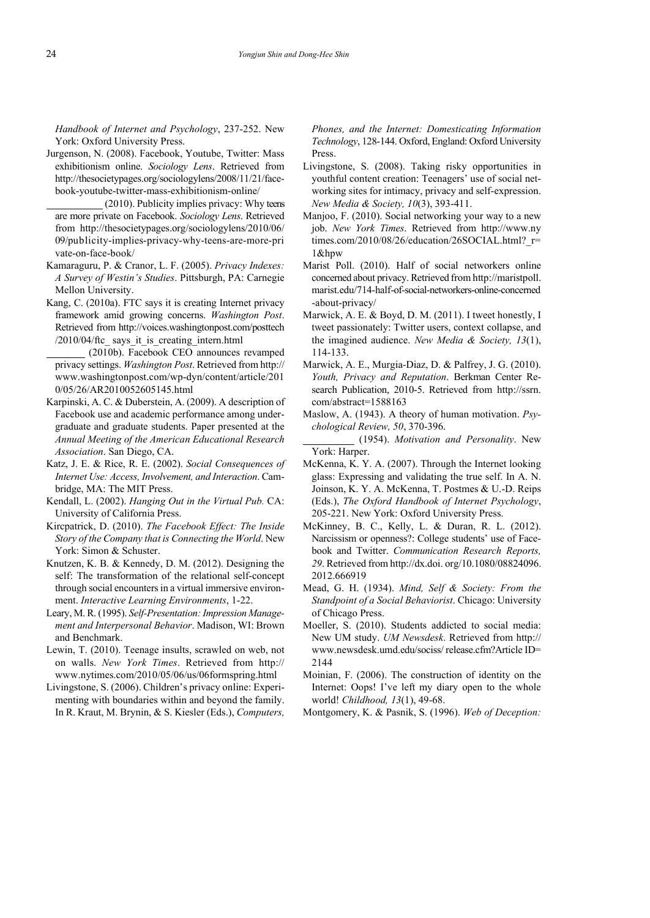*Handbook of Internet and Psychology*, 237-252. New York: Oxford University Press.

- Jurgenson, N. (2008). Facebook, Youtube, Twitter: Mass exhibitionism online. *Sociology Lens*. Retrieved from http://thesocietypages.org/sociologylens/2008/11/21/facebook-youtube-twitter-mass-exhibitionism-online/
- $(2010)$ . Publicity implies privacy: Why teens are more private on Facebook. *Sociology Lens*. Retrieved from http://thesocietypages.org/sociologylens/2010/06/ 09/publicity-implies-privacy-why-teens-are-more-pri vate-on-face-book/
- Kamaraguru, P. & Cranor, L. F. (2005). *Privacy Indexes: A Survey of Westin's Studies*. Pittsburgh, PA: Carnegie Mellon University.
- Kang, C. (2010a). FTC says it is creating Internet privacy framework amid growing concerns. *Washington Post*. Retrieved from http://voices.washingtonpost.com/posttech  $/2010/04$ /ftc says it is creating intern.html
	- (2010b). Facebook CEO announces revamped privacy settings. *Washington Post*. Retrieved from http:// www.washingtonpost.com/wp-dyn/content/article/201 0/05/26/AR2010052605145.html
- Karpinski, A. C. & Duberstein, A. (2009). A description of Facebook use and academic performance among under graduate and graduate students. Paper presented at the *Annual Meeting of the American Educational Research Association*. San Diego, CA.
- Katz, J. E. & Rice, R. E. (2002). *Social Consequences of Internet Use: Access, Involvement, and Interaction*. Cam bridge, MA: The MIT Press.
- Kendall, L. (2002). *Hanging Out in the Virtual Pub.* CA: University of California Press.
- Kircpatrick, D. (2010). *The Facebook Effect: The Inside Story of the Company that is Connecting the World*. New York: Simon & Schuster.
- Knutzen, K. B. & Kennedy, D. M. (2012). Designing the self: The transformation of the relational self-concept through social encounters in a virtual immersive environ ment. *Interactive Learning Environments*, 1-22.
- Leary, M. R. (1995). *Self-Presentation: Impression Manage ment and Interpersonal Behavior*. Madison, WI: Brown and Benchmark.
- Lewin, T. (2010). Teenage insults, scrawled on web, not on walls. *New York Times*. Retrieved from http:// www.nytimes.com/2010/05/06/us/06formspring.html
- Livingstone, S. (2006). Children's privacy online: Experi menting with boundaries within and beyond the family. In R. Kraut, M. Brynin, & S. Kiesler (Eds.), *Computers,*

*Phones, and the Internet: Domesticating Information Technology*, 128-144. Oxford, England: Oxford University Press.

- Livingstone, S. (2008). Taking risky opportunities in youthful content creation: Teenagers' use of social net working sites for intimacy, privacy and self-expression. *New Media & Society, 10*(3), 393-411.
- Manjoo, F. (2010). Social networking your way to a new job. *New York Times*. Retrieved from http://www.ny times.com/2010/08/26/education/26SOCIAL.html? r= 1&hpw
- Marist Poll. (2010). Half of social networkers online concerned about privacy. Retrieved from http://maristpoll. marist.edu/714-half-of-social-networkers-online-concerned -about-privacy/
- Marwick, A. E. & Boyd, D. M. (2011). I tweet honestly, I tweet passionately: Twitter users, context collapse, and the imagined audience. *New Media & Society, 13*(1), 114-133.
- Marwick, A. E., Murgia-Diaz, D. & Palfrey, J. G. (2010). *Youth, Privacy and Reputation*. Berkman Center Re search Publication, 2010-5. Retrieved from http://ssrn. com/abstract=1588163
- Maslow, A. (1943). A theory of human motivation. *Psy chological Review, 50*, 370-396.
- (1954). *Motivation and Personality*. New York: Harper.
- McKenna, K. Y. A. (2007). Through the Internet looking glass: Expressing and validating the true self. In A. N. Joinson, K. Y. A. McKenna, T. Postmes & U.-D. Reips (Eds.), *The Oxford Handbook of Internet Psychology*, 205-221. New York: Oxford University Press.
- McKinney, B. C., Kelly, L. & Duran, R. L. (2012). Narcissism or openness?: College students' use of Face book and Twitter. *Communication Research Reports, 29*. Retrieved from http://dx.doi. org/10.1080/08824096. 2012.666919
- Mead, G. H. (1934). *Mind, Self & Society: From the Standpoint of a Social Behaviorist*. Chicago: University of Chicago Press.
- Moeller, S. (2010). Students addicted to social media: New UM study. *UM Newsdesk*. Retrieved from http:// www.newsdesk.umd.edu/sociss/ release.cfm?Article ID= 2144
- Moinian, F. (2006). The construction of identity on the Internet: Oops! I've left my diary open to the whole world! *Childhood, 13*(1), 49-68.
- Montgomery, K. & Pasnik, S. (1996). *Web of Deception:*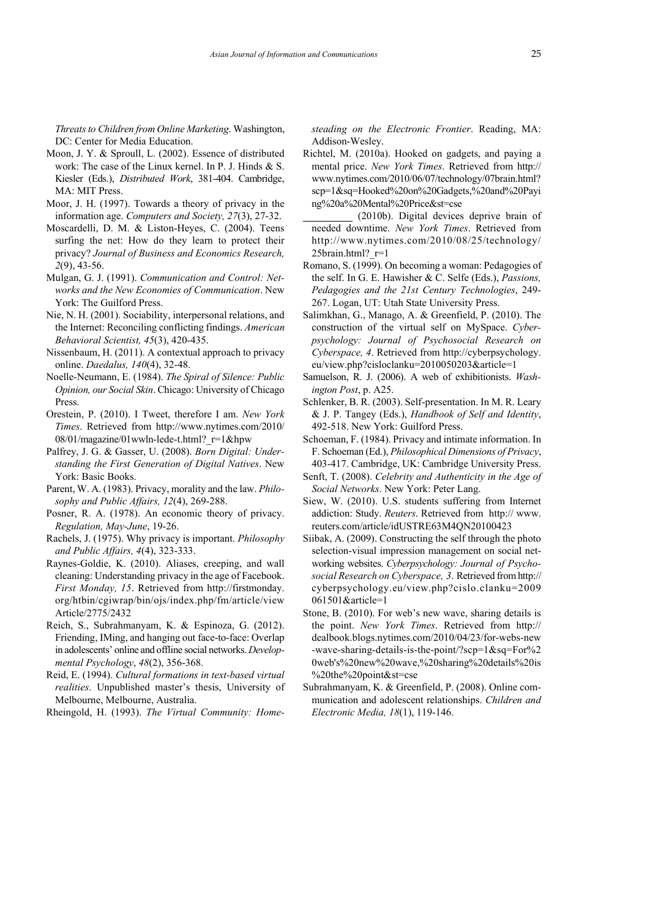*Threats to Children from Online Marketing*. Washington, DC: Center for Media Education.

- Moon, J. Y. & Sproull, L. (2002). Essence of distributed work: The case of the Linux kernel. In P. J. Hinds & S. Kiesler (Eds.), *Distributed Work*, 381-404. Cambridge, MA: MIT Press.
- Moor, J. H. (1997). Towards a theory of privacy in the information age. *Computers and Society, 27*(3), 27-32.
- Moscardelli, D. M. & Liston-Heyes, C. (2004). Teens surfing the net: How do they learn to protect their privacy? *Journal of Business and Economics Research, 2*(9), 43-56.
- Mulgan, G. J. (1991). *Communication and Control: Net works and the New Economies of Communication*. New York: The Guilford Press.
- Nie, N. H. (2001). Sociability, interpersonal relations, and the Internet: Reconciling conflicting findings. *American Behavioral Scientist, 45*(3), 420-435.
- Nissenbaum, H. (2011). A contextual approach to privacy online. *Daedalus, 140*(4), 32-48.
- Noelle-Neumann, E. (1984). *The Spiral of Silence: Public Opinion, our Social Skin*. Chicago: University of Chicago Press.
- Orestein, P. (2010). I Tweet, therefore I am. *New York Times*. Retrieved from http://www.nytimes.com/2010/  $08/01/magazine/01$  wwln-lede-t.html?  $r=1$  &hpw
- Palfrey, J. G. & Gasser, U. (2008). *Born Digital: Under standing the First Generation of Digital Natives*. New York: Basic Books.
- Parent, W. A. (1983). Privacy, morality and the law. *Philo sophy and Public Affairs, 12*(4), 269-288.
- Posner, R. A. (1978). An economic theory of privacy. *Regulation, May-June*, 19-26.
- Rachels, J. (1975). Why privacy is important. *Philosophy and Public Affairs, 4*(4), 323-333.
- Raynes-Goldie, K. (2010). Aliases, creeping, and wall cleaning: Understanding privacy in the age of Facebook. *First Monday, 15*. Retrieved from http://firstmonday. org/htbin/cgiwrap/bin/ojs/index.php/fm/article/view Article/2775/2432
- Reich, S., Subrahmanyam, K. & Espinoza, G. (2012). Friending, IMing, and hanging out face-to-face: Overlap in adolescents' online and offline social networks. *Develop mental Psychology*, *48*(2), 356-368.
- Reid, E. (1994). *Cultural formations in text-based virtual realities*. Unpublished master's thesis, University of Melbourne, Melbourne, Australia.
- Rheingold, H. (1993). *The Virtual Community: Home-*

*steading on the Electronic Frontier*. Reading, MA: Addison-Wesley.

- Richtel, M. (2010a). Hooked on gadgets, and paying a mental price. *New York Times*. Retrieved from http:// www.nytimes.com/2010/06/07/technology/07brain.html? scp=1&sq=Hooked%20on%20Gadgets,%20and%20Payi ng%20a%20Mental%20Price&st=cse
- $(2010b)$ . Digital devices deprive brain of needed downtime. *New York Times*. Retrieved from http://www.nytimes.com/2010/08/25/technology/ 25brain.html? $r=1$
- Romano, S. (1999). On becoming a woman: Pedagogies of the self. In G. E. Hawisher & C. Selfe (Eds.), *Passions, Pedagogies and the 21st Century Technologies*, 249- 267. Logan, UT: Utah State University Press.
- Salimkhan, G., Manago, A. & Greenfield, P. (2010). The construction of the virtual self on MySpace. *Cyber psychology: Journal of Psychosocial Research on Cyberspace, 4*. Retrieved from http://cyberpsychology. eu/view.php?cisloclanku=2010050203&article=1
- Samuelson, R. J. (2006). A web of exhibitionists. *Washington Post*, p. A25.
- Schlenker, B. R. (2003). Self-presentation. In M. R. Leary & J. P. Tangey (Eds.), *Handbook of Self and Identity*, 492-518. New York: Guilford Press.
- Schoeman, F. (1984). Privacy and intimate information. In F. Schoeman (Ed.), *Philosophical Dimensions of Privacy*, 403-417. Cambridge, UK: Cambridge University Press.
- Senft, T. (2008). *Celebrity and Authenticity in the Age of Social Networks*. New York: Peter Lang.
- Siew, W. (2010). U.S. students suffering from Internet addiction: Study. *Reuters*. Retrieved from http:// www. reuters.com/article/idUSTRE63M4QN20100423
- Siibak, A. (2009). Constructing the self through the photo selection-visual impression management on social net working websites. *Cyberpsychology: Journal of Psycho social Research on Cyberspace, 3*. Retrieved from http:// cyberpsychology.eu/view.php?cislo.clanku=2009 061501&article=1
- Stone, B. (2010). For web's new wave, sharing details is the point. *New York Times*. Retrieved from http:// dealbook.blogs.nytimes.com/2010/04/23/for-webs-new -wave-sharing-details-is-the-point/?scp=1&sq=For%2 0web's%20new%20wave,%20sharing%20details%20is %20the%20point&st=cse
- Subrahmanyam, K. & Greenfield, P. (2008). Online com munication and adolescent relationships. *Children and Electronic Media, 18*(1), 119-146.